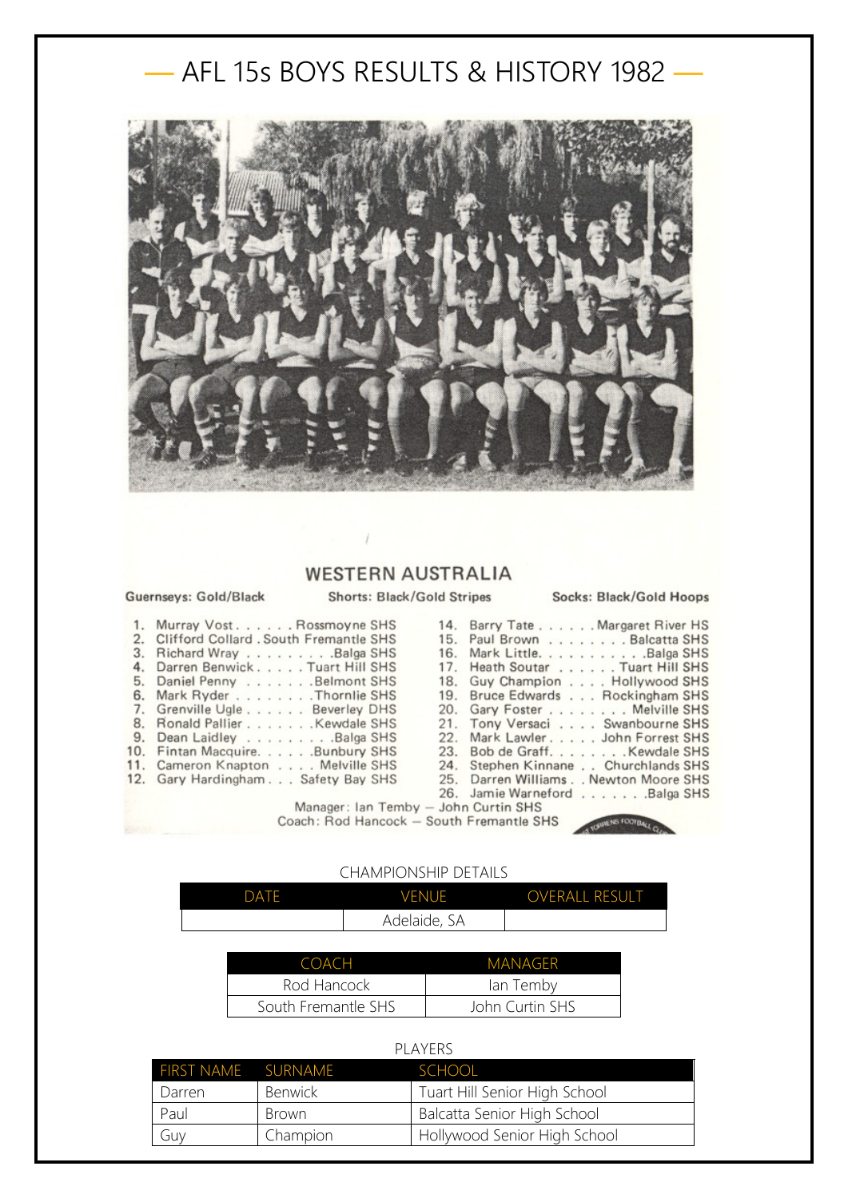## — AFL 15s BOYS RESULTS & HISTORY 1982 —



## **WESTERN AUSTRALIA**

## Guernseys: Gold/Black

**Shorts: Black/Gold Stripes** 

Socks: Black/Gold Hoops

| 1. Murray Vost. Rossmoyne SHS             | 14. Barry Tate Margaret River HS    |
|-------------------------------------------|-------------------------------------|
| 2. Clifford Collard . South Fremantle SHS | 15. Paul Brown Balcatta SHS         |
| 3. Richard Wray Balga SHS                 | 16. Mark LittleBalga SHS            |
| 4. Darren Benwick. Tuart Hill SHS         | 17. Heath Soutar Tuart Hill SHS     |
| 5. Daniel Penny Belmont SHS               | 18. Guy Champion Hollywood SHS      |
| 6. Mark Ryder Thornlie SHS                | 19. Bruce Edwards Rockingham SHS    |
| 7. Grenville Ugle Beverley DHS            | 20. Gary Foster Melville SHS        |
| 8. Ronald Pallier Kewdale SHS             | 21. Tony Versaci Swanbourne SHS     |
| 9. Dean Laidley Balga SHS                 | 22. Mark Lawler. John Forrest SHS   |
| 10. Fintan Macquire. Bunbury SHS          | 23. Bob de GraffKewdale SHS         |
| 11. Cameron Knapton Melville SHS          | 24. Stephen Kinnane Churchlands SHS |
| 12. Gary Hardingham Safety Bay SHS        | 25. Darren WilliamsNewton Moore SHS |
|                                           | 26. Jamie Warneford Balga SHS       |
| Manager: Ian Temby - John Curtin SHS      |                                     |

Coach: Rod Hancock - South Fremantle SHS

## CHAMPIONSHIP DETAILS

| <b>DATE</b> | <b>VENUE</b> | OVERALL RESULT |
|-------------|--------------|----------------|
|             | Adelaide, SA |                |

| COACH               | <b>MANAGER</b>  |
|---------------------|-----------------|
| Rod Hancock         | lan Temby       |
| South Fremantle SHS | John Curtin SHS |

| PI AYFRS                  |                |                               |  |  |
|---------------------------|----------------|-------------------------------|--|--|
| <b>FIRST NAME SURNAME</b> |                | <b>SCHOOL</b>                 |  |  |
| Darren                    | <b>Benwick</b> | Tuart Hill Senior High School |  |  |
| Paul                      | Brown          | Balcatta Senior High School   |  |  |
| Guy                       | Champion       | Hollywood Senior High School  |  |  |